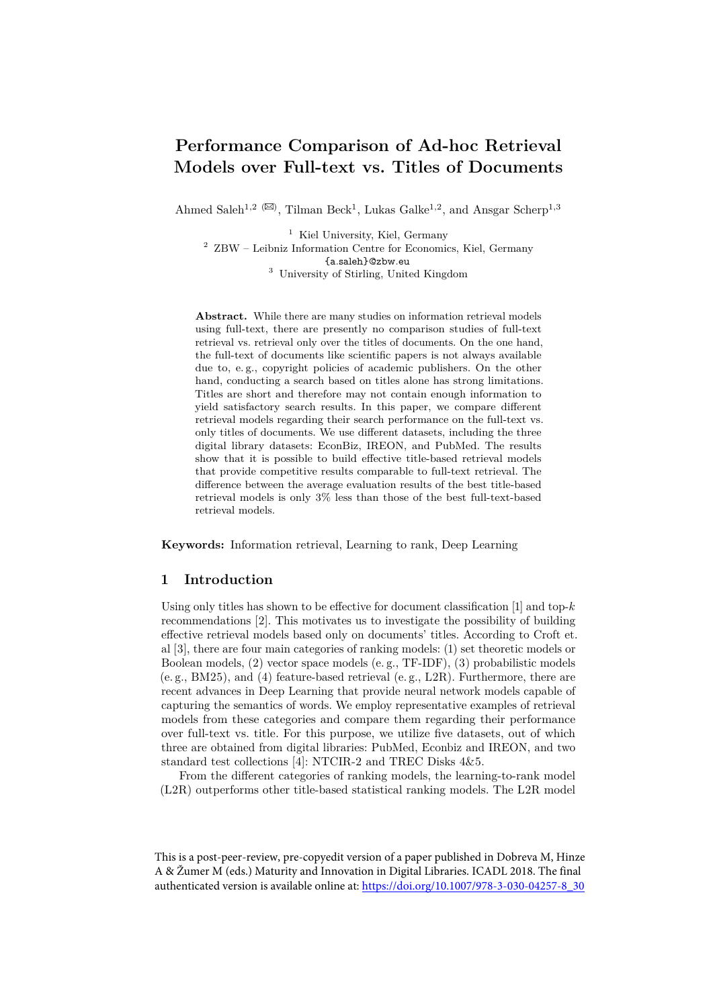# **Performance Comparison of Ad-hoc Retrieval Models over Full-text vs. Titles of Documents**

Ahmed Saleh<sup>1,2 ( $\boxtimes$ ), Tilman Beck<sup>1</sup>, Lukas Galke<sup>1,2</sup>, and Ansgar Scherp<sup>1,3</sup></sup>

<sup>1</sup> Kiel University, Kiel, Germany

 $^2\,$  ZBW – Leibniz Information Centre for Economics, Kiel, Germany {a.saleh}@zbw.eu

<sup>3</sup> University of Stirling, United Kingdom

**Abstract.** While there are many studies on information retrieval models using full-text, there are presently no comparison studies of full-text retrieval vs. retrieval only over the titles of documents. On the one hand, the full-text of documents like scientific papers is not always available due to, e. g., copyright policies of academic publishers. On the other hand, conducting a search based on titles alone has strong limitations. Titles are short and therefore may not contain enough information to yield satisfactory search results. In this paper, we compare different retrieval models regarding their search performance on the full-text vs. only titles of documents. We use different datasets, including the three digital library datasets: EconBiz, IREON, and PubMed. The results show that it is possible to build effective title-based retrieval models that provide competitive results comparable to full-text retrieval. The difference between the average evaluation results of the best title-based retrieval models is only 3% less than those of the best full-text-based retrieval models.

**Keywords:** Information retrieval, Learning to rank, Deep Learning

# **1 Introduction**

Using only titles has shown to be effective for document classification  $[1]$  and top- $k$ recommendations [\[2\]](#page-11-1). This motivates us to investigate the possibility of building effective retrieval models based only on documents' titles. According to Croft et. al [\[3\]](#page-11-2), there are four main categories of ranking models: (1) set theoretic models or Boolean models, (2) vector space models (e. g., TF-IDF), (3) probabilistic models (e. g., BM25), and (4) feature-based retrieval (e. g., L2R). Furthermore, there are recent advances in Deep Learning that provide neural network models capable of capturing the semantics of words. We employ representative examples of retrieval models from these categories and compare them regarding their performance over full-text vs. title. For this purpose, we utilize five datasets, out of which three are obtained from digital libraries: PubMed, Econbiz and IREON, and two standard test collections [\[4\]](#page-11-3): NTCIR-2 and TREC Disks 4&5.

From the different categories of ranking models, the learning-to-rank model (L2R) outperforms other title-based statistical ranking models. The L2R model

This is a post-peer-review, pre-copyedit version of a paper published in Dobreva M, Hinze A & Žumer M (eds.) Maturity and Innovation in Digital Libraries. ICADL 2018. The final authenticated version is available online at: [https://doi.org/10.1007/978-3-030-04257-8\\_30](https://doi.org/10.1007/978-3-030-04257-8_30)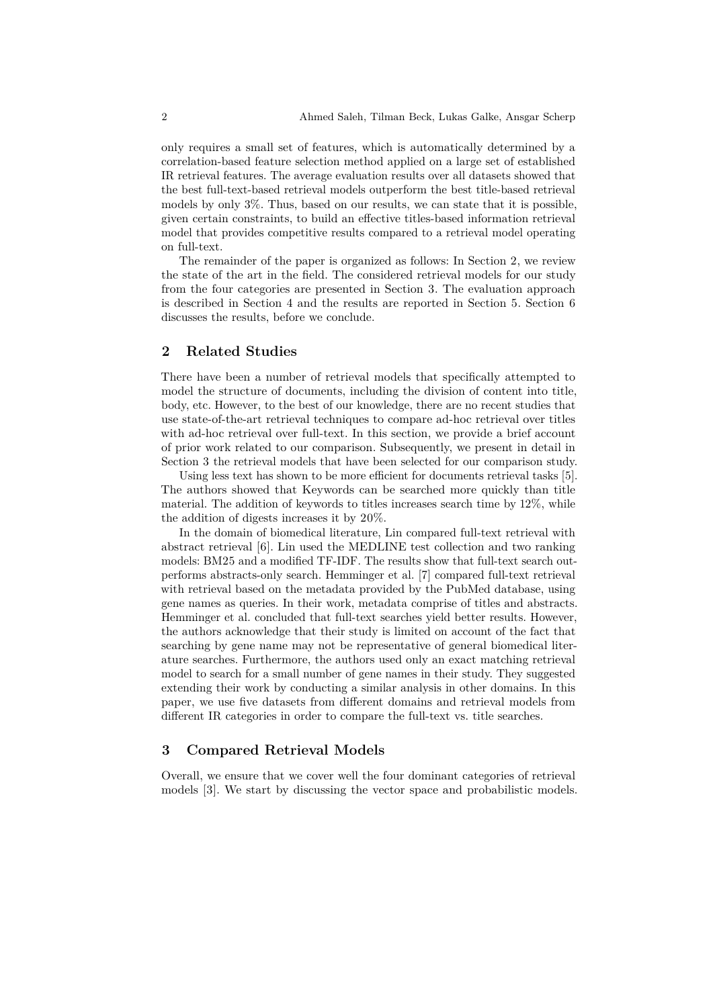only requires a small set of features, which is automatically determined by a correlation-based feature selection method applied on a large set of established IR retrieval features. The average evaluation results over all datasets showed that the best full-text-based retrieval models outperform the best title-based retrieval models by only 3%. Thus, based on our results, we can state that it is possible, given certain constraints, to build an effective titles-based information retrieval model that provides competitive results compared to a retrieval model operating on full-text.

The remainder of the paper is organized as follows: In Section [2,](#page-1-0) we review the state of the art in the field. The considered retrieval models for our study from the four categories are presented in Section [3.](#page-1-1) The evaluation approach is described in Section [4](#page-3-0) and the results are reported in Section [5.](#page-7-0) Section [6](#page-9-0) discusses the results, before we conclude.

# <span id="page-1-0"></span>**2 Related Studies**

There have been a number of retrieval models that specifically attempted to model the structure of documents, including the division of content into title, body, etc. However, to the best of our knowledge, there are no recent studies that use state-of-the-art retrieval techniques to compare ad-hoc retrieval over titles with ad-hoc retrieval over full-text. In this section, we provide a brief account of prior work related to our comparison. Subsequently, we present in detail in Section [3](#page-1-1) the retrieval models that have been selected for our comparison study.

Using less text has shown to be more efficient for documents retrieval tasks [\[5\]](#page-11-4). The authors showed that Keywords can be searched more quickly than title material. The addition of keywords to titles increases search time by 12%, while the addition of digests increases it by 20%.

In the domain of biomedical literature, Lin compared full-text retrieval with abstract retrieval [\[6\]](#page-11-5). Lin used the MEDLINE test collection and two ranking models: BM25 and a modified TF-IDF. The results show that full-text search outperforms abstracts-only search. Hemminger et al. [\[7\]](#page-11-6) compared full-text retrieval with retrieval based on the metadata provided by the PubMed database, using gene names as queries. In their work, metadata comprise of titles and abstracts. Hemminger et al. concluded that full-text searches yield better results. However, the authors acknowledge that their study is limited on account of the fact that searching by gene name may not be representative of general biomedical literature searches. Furthermore, the authors used only an exact matching retrieval model to search for a small number of gene names in their study. They suggested extending their work by conducting a similar analysis in other domains. In this paper, we use five datasets from different domains and retrieval models from different IR categories in order to compare the full-text vs. title searches.

## <span id="page-1-1"></span>**3 Compared Retrieval Models**

Overall, we ensure that we cover well the four dominant categories of retrieval models [\[3\]](#page-11-2). We start by discussing the vector space and probabilistic models.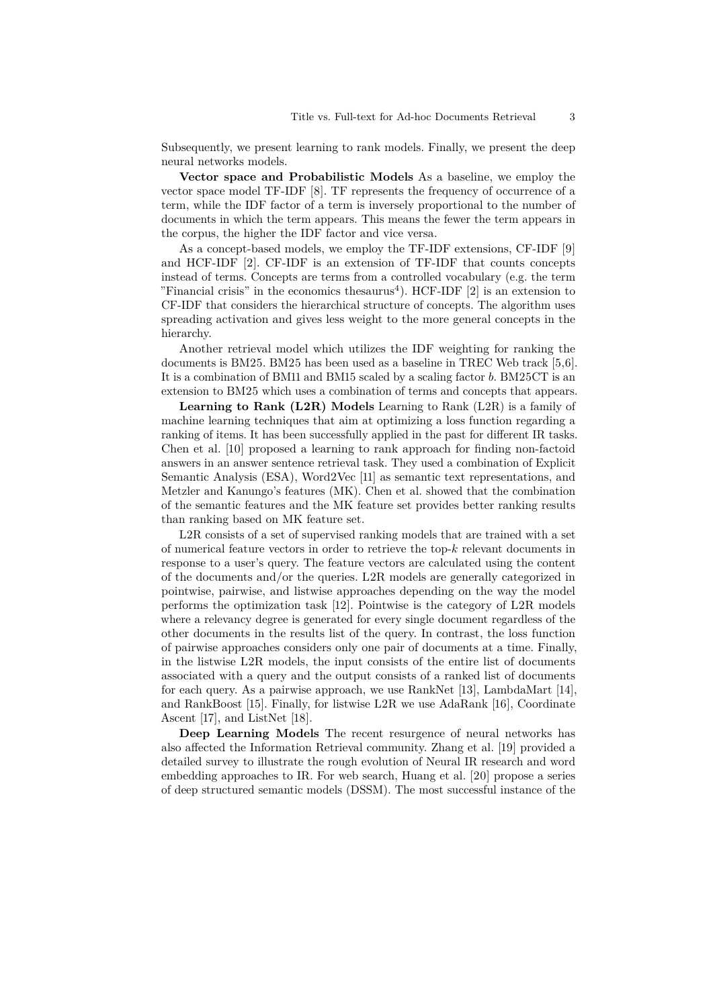Subsequently, we present learning to rank models. Finally, we present the deep neural networks models.

**Vector space and Probabilistic Models** As a baseline, we employ the vector space model TF-IDF [\[8\]](#page-11-7). TF represents the frequency of occurrence of a term, while the IDF factor of a term is inversely proportional to the number of documents in which the term appears. This means the fewer the term appears in the corpus, the higher the IDF factor and vice versa.

As a concept-based models, we employ the TF-IDF extensions, CF-IDF [\[9\]](#page-11-8) and HCF-IDF [\[2\]](#page-11-1). CF-IDF is an extension of TF-IDF that counts concepts instead of terms. Concepts are terms from a controlled vocabulary (e.g. the term "Financial crisis" in the economics thesaurus<sup>[4](#page-11-9)</sup>). HCF-IDF  $[2]$  is an extension to CF-IDF that considers the hierarchical structure of concepts. The algorithm uses spreading activation and gives less weight to the more general concepts in the hierarchy.

Another retrieval model which utilizes the IDF weighting for ranking the documents is BM25. BM25 has been used as a baseline in TREC Web track [5,6]. It is a combination of BM11 and BM15 scaled by a scaling factor  $b$ . BM25CT is an extension to BM25 which uses a combination of terms and concepts that appears.

**Learning to Rank (L2R) Models** Learning to Rank (L2R) is a family of machine learning techniques that aim at optimizing a loss function regarding a ranking of items. It has been successfully applied in the past for different IR tasks. Chen et al. [\[10\]](#page-11-10) proposed a learning to rank approach for finding non-factoid answers in an answer sentence retrieval task. They used a combination of Explicit Semantic Analysis (ESA), Word2Vec [\[11\]](#page-12-0) as semantic text representations, and Metzler and Kanungo's features (MK). Chen et al. showed that the combination of the semantic features and the MK feature set provides better ranking results than ranking based on MK feature set.

L2R consists of a set of supervised ranking models that are trained with a set of numerical feature vectors in order to retrieve the top- $k$  relevant documents in response to a user's query. The feature vectors are calculated using the content of the documents and/or the queries. L2R models are generally categorized in pointwise, pairwise, and listwise approaches depending on the way the model performs the optimization task [\[12\]](#page-12-1). Pointwise is the category of L2R models where a relevancy degree is generated for every single document regardless of the other documents in the results list of the query. In contrast, the loss function of pairwise approaches considers only one pair of documents at a time. Finally, in the listwise L2R models, the input consists of the entire list of documents associated with a query and the output consists of a ranked list of documents for each query. As a pairwise approach, we use RankNet [\[13\]](#page-12-2), LambdaMart [\[14\]](#page-12-3), and RankBoost [\[15\]](#page-12-4). Finally, for listwise L2R we use AdaRank [\[16\]](#page-12-5), Coordinate Ascent [\[17\]](#page-12-6), and ListNet [\[18\]](#page-12-7).

**Deep Learning Models** The recent resurgence of neural networks has also affected the Information Retrieval community. Zhang et al. [\[19\]](#page-12-8) provided a detailed survey to illustrate the rough evolution of Neural IR research and word embedding approaches to IR. For web search, Huang et al. [\[20\]](#page-12-9) propose a series of deep structured semantic models (DSSM). The most successful instance of the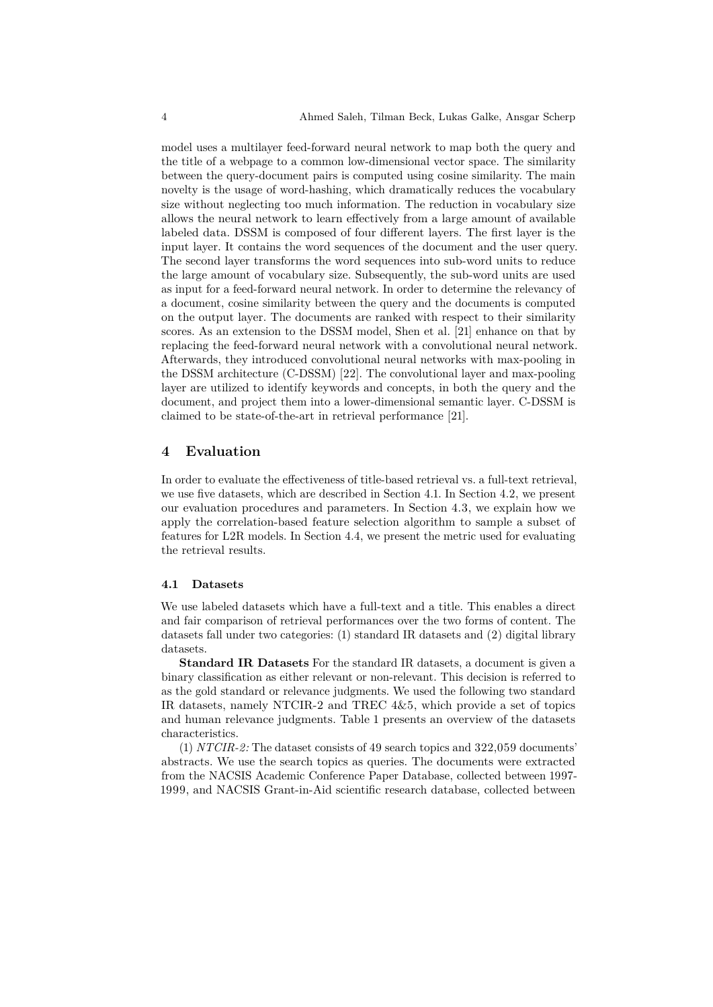model uses a multilayer feed-forward neural network to map both the query and the title of a webpage to a common low-dimensional vector space. The similarity between the query-document pairs is computed using cosine similarity. The main novelty is the usage of word-hashing, which dramatically reduces the vocabulary size without neglecting too much information. The reduction in vocabulary size allows the neural network to learn effectively from a large amount of available labeled data. DSSM is composed of four different layers. The first layer is the input layer. It contains the word sequences of the document and the user query. The second layer transforms the word sequences into sub-word units to reduce the large amount of vocabulary size. Subsequently, the sub-word units are used as input for a feed-forward neural network. In order to determine the relevancy of a document, cosine similarity between the query and the documents is computed on the output layer. The documents are ranked with respect to their similarity scores. As an extension to the DSSM model, Shen et al. [\[21\]](#page-12-10) enhance on that by replacing the feed-forward neural network with a convolutional neural network. Afterwards, they introduced convolutional neural networks with max-pooling in the DSSM architecture (C-DSSM) [\[22\]](#page-12-11). The convolutional layer and max-pooling layer are utilized to identify keywords and concepts, in both the query and the document, and project them into a lower-dimensional semantic layer. C-DSSM is claimed to be state-of-the-art in retrieval performance [\[21\]](#page-12-10).

## <span id="page-3-0"></span>**4 Evaluation**

In order to evaluate the effectiveness of title-based retrieval vs. a full-text retrieval, we use five datasets, which are described in Section [4.1.](#page-3-1) In Section [4.2,](#page-5-0) we present our evaluation procedures and parameters. In Section [4.3,](#page-6-0) we explain how we apply the correlation-based feature selection algorithm to sample a subset of features for L2R models. In Section [4.4,](#page-7-1) we present the metric used for evaluating the retrieval results.

#### <span id="page-3-1"></span>**4.1 Datasets**

We use labeled datasets which have a full-text and a title. This enables a direct and fair comparison of retrieval performances over the two forms of content. The datasets fall under two categories: (1) standard IR datasets and (2) digital library datasets.

**Standard IR Datasets** For the standard IR datasets, a document is given a binary classification as either relevant or non-relevant. This decision is referred to as the gold standard or relevance judgments. We used the following two standard IR datasets, namely NTCIR-2 and TREC 4&5, which provide a set of topics and human relevance judgments. Table [1](#page-4-0) presents an overview of the datasets characteristics.

(1) *NTCIR-2:* The dataset consists of 49 search topics and 322,059 documents' abstracts. We use the search topics as queries. The documents were extracted from the NACSIS Academic Conference Paper Database, collected between 1997- 1999, and NACSIS Grant-in-Aid scientific research database, collected between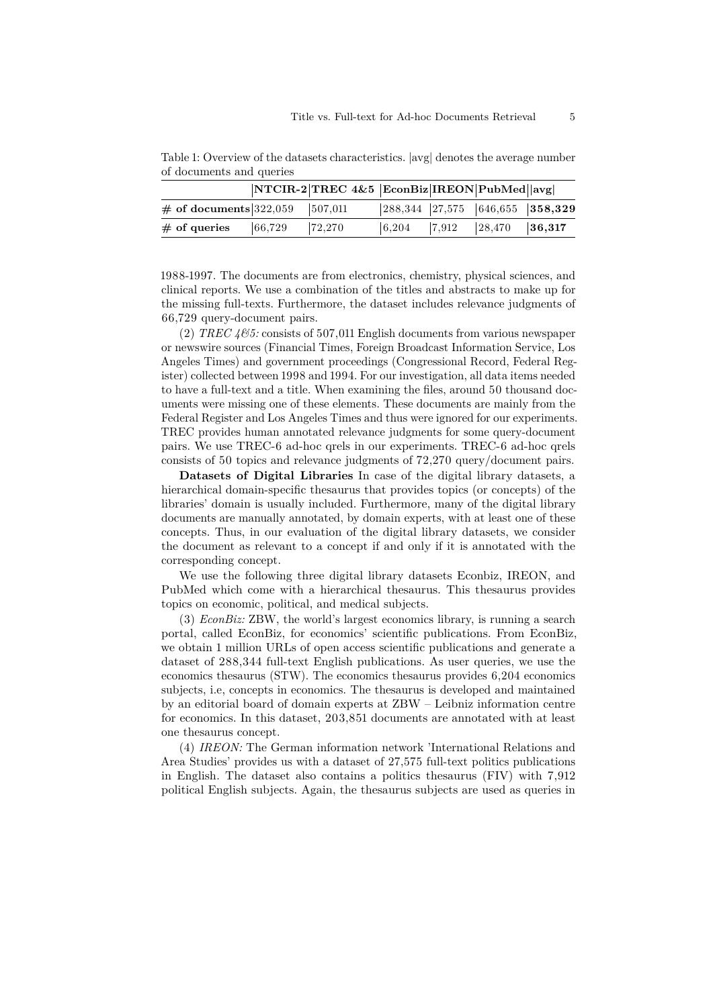| $01.900$ cannon when generos |                  |                                                |       |       |                  |                                                                |  |  |
|------------------------------|------------------|------------------------------------------------|-------|-------|------------------|----------------------------------------------------------------|--|--|
|                              |                  | $ NTCIR-2 TREC 4&5 EconBiz IREON PubMed  avg $ |       |       |                  |                                                                |  |  |
| $\#$ of documents 322,059    |                  | 507,011                                        |       |       |                  | $\vert 288,344 \vert 27,575 \vert 646,655 \vert 358,329 \vert$ |  |  |
| $#$ of queries               | $ 66,729\rangle$ | 72,270                                         | 6,204 | 7,912 | $ 28,470\rangle$ | $\vert 36,317 \vert$                                           |  |  |

<span id="page-4-0"></span>Table 1: Overview of the datasets characteristics. |avg| denotes the average number of documents and queries

1988-1997. The documents are from electronics, chemistry, physical sciences, and clinical reports. We use a combination of the titles and abstracts to make up for the missing full-texts. Furthermore, the dataset includes relevance judgments of 66,729 query-document pairs.

(2)  $TREC \, 465$ : consists of 507,011 English documents from various newspaper or newswire sources (Financial Times, Foreign Broadcast Information Service, Los Angeles Times) and government proceedings (Congressional Record, Federal Register) collected between 1998 and 1994. For our investigation, all data items needed to have a full-text and a title. When examining the files, around 50 thousand documents were missing one of these elements. These documents are mainly from the Federal Register and Los Angeles Times and thus were ignored for our experiments. TREC provides human annotated relevance judgments for some query-document pairs. We use TREC-6 ad-hoc qrels in our experiments. TREC-6 ad-hoc qrels consists of 50 topics and relevance judgments of 72,270 query/document pairs.

**Datasets of Digital Libraries** In case of the digital library datasets, a hierarchical domain-specific thesaurus that provides topics (or concepts) of the libraries' domain is usually included. Furthermore, many of the digital library documents are manually annotated, by domain experts, with at least one of these concepts. Thus, in our evaluation of the digital library datasets, we consider the document as relevant to a concept if and only if it is annotated with the corresponding concept.

We use the following three digital library datasets Econbiz, IREON, and PubMed which come with a hierarchical thesaurus. This thesaurus provides topics on economic, political, and medical subjects.

(3) *EconBiz:* ZBW, the world's largest economics library, is running a search portal, called EconBiz, for economics' scientific publications. From EconBiz, we obtain 1 million URLs of open access scientific publications and generate a dataset of 288,344 full-text English publications. As user queries, we use the economics thesaurus (STW). The economics thesaurus provides 6,204 economics subjects, i.e, concepts in economics. The thesaurus is developed and maintained by an editorial board of domain experts at ZBW – Leibniz information centre for economics. In this dataset, 203,851 documents are annotated with at least one thesaurus concept.

(4) *IREON:* The German information network 'International Relations and Area Studies' provides us with a dataset of 27,575 full-text politics publications in English. The dataset also contains a politics thesaurus (FIV) with 7,912 political English subjects. Again, the thesaurus subjects are used as queries in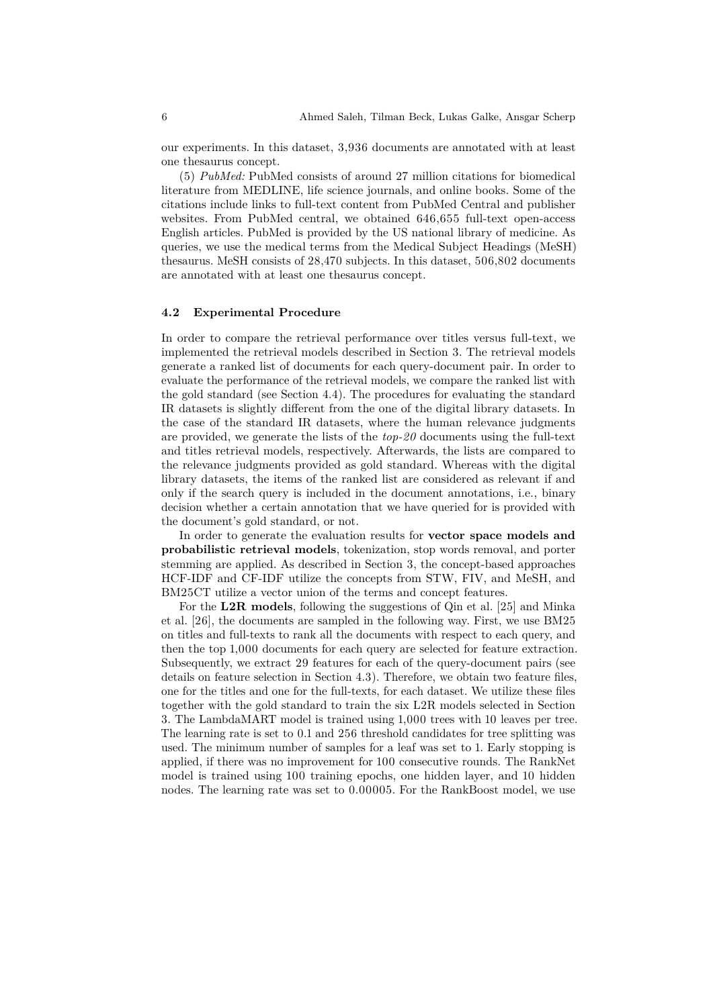our experiments. In this dataset, 3,936 documents are annotated with at least one thesaurus concept.

(5) *PubMed:* PubMed consists of around 27 million citations for biomedical literature from MEDLINE, life science journals, and online books. Some of the citations include links to full-text content from PubMed Central and publisher websites. From PubMed central, we obtained 646,655 full-text open-access English articles. PubMed is provided by the US national library of medicine. As queries, we use the medical terms from the Medical Subject Headings (MeSH) thesaurus. MeSH consists of 28,470 subjects. In this dataset, 506,802 documents are annotated with at least one thesaurus concept.

#### <span id="page-5-0"></span>**4.2 Experimental Procedure**

In order to compare the retrieval performance over titles versus full-text, we implemented the retrieval models described in Section [3.](#page-1-1) The retrieval models generate a ranked list of documents for each query-document pair. In order to evaluate the performance of the retrieval models, we compare the ranked list with the gold standard (see Section [4.4\)](#page-7-1). The procedures for evaluating the standard IR datasets is slightly different from the one of the digital library datasets. In the case of the standard IR datasets, where the human relevance judgments are provided, we generate the lists of the *top-20* documents using the full-text and titles retrieval models, respectively. Afterwards, the lists are compared to the relevance judgments provided as gold standard. Whereas with the digital library datasets, the items of the ranked list are considered as relevant if and only if the search query is included in the document annotations, i.e., binary decision whether a certain annotation that we have queried for is provided with the document's gold standard, or not.

In order to generate the evaluation results for **vector space models and probabilistic retrieval models**, tokenization, stop words removal, and porter stemming are applied. As described in Section [3,](#page-1-1) the concept-based approaches HCF-IDF and CF-IDF utilize the concepts from STW, FIV, and MeSH, and BM25CT utilize a vector union of the terms and concept features.

For the **L2R models**, following the suggestions of Qin et al. [\[25\]](#page-12-12) and Minka et al. [\[26\]](#page-12-13), the documents are sampled in the following way. First, we use BM25 on titles and full-texts to rank all the documents with respect to each query, and then the top 1,000 documents for each query are selected for feature extraction. Subsequently, we extract 29 features for each of the query-document pairs (see details on feature selection in Section [4.3\)](#page-6-0). Therefore, we obtain two feature files, one for the titles and one for the full-texts, for each dataset. We utilize these files together with the gold standard to train the six L2R models selected in Section [3.](#page-1-1) The LambdaMART model is trained using 1,000 trees with 10 leaves per tree. The learning rate is set to 0.1 and 256 threshold candidates for tree splitting was used. The minimum number of samples for a leaf was set to 1. Early stopping is applied, if there was no improvement for 100 consecutive rounds. The RankNet model is trained using 100 training epochs, one hidden layer, and 10 hidden nodes. The learning rate was set to 0.00005. For the RankBoost model, we use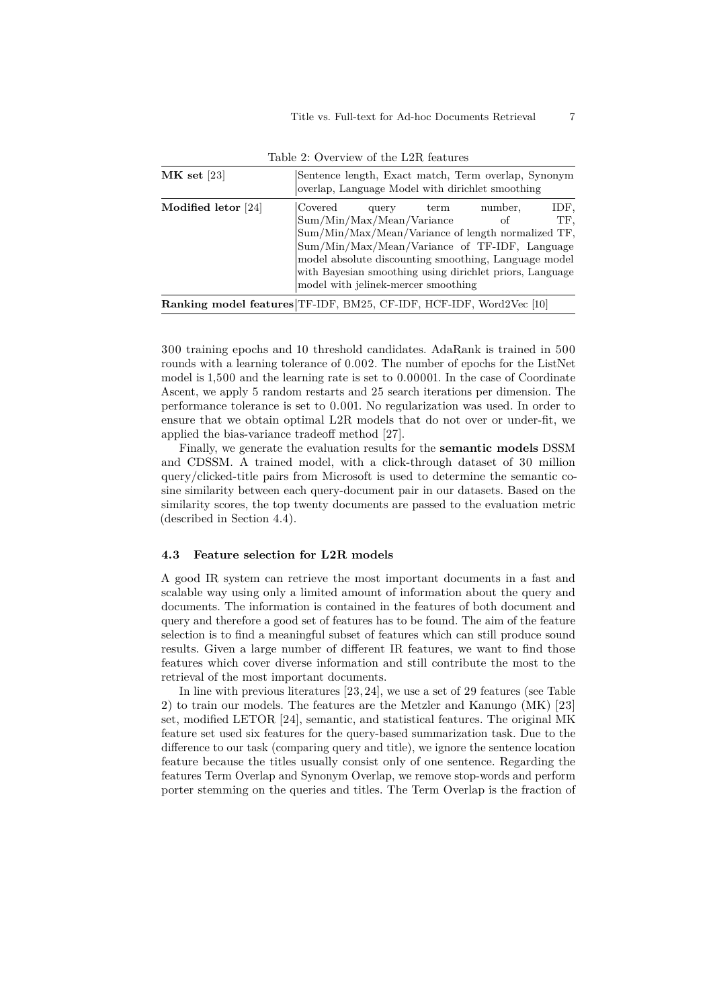<span id="page-6-1"></span>

| $MK$ set [23]       | Sentence length, Exact match, Term overlap, Synonym<br>overlap, Language Model with dirichlet smoothing                                                                                                                                                                                                         |      |               |             |  |  |  |
|---------------------|-----------------------------------------------------------------------------------------------------------------------------------------------------------------------------------------------------------------------------------------------------------------------------------------------------------------|------|---------------|-------------|--|--|--|
| Modified letor [24] | Covered<br>query<br>Sum/Min/Max/Mean/Variance<br>Sum/Min/Max/Mean/Variance of length normalized TF,<br>Sum/Min/Max/Mean/Variance of TF-IDF, Language<br>model absolute discounting smoothing, Language model<br>with Bayesian smoothing using dirichlet priors, Language<br>model with jelinek-mercer smoothing | term | number.<br>οf | IDF.<br>TF, |  |  |  |
|                     | <b>Ranking model features</b> TF-IDF, BM25, CF-IDF, HCF-IDF, Word2Vec [10]                                                                                                                                                                                                                                      |      |               |             |  |  |  |

Table 2: Overview of the L2R features

300 training epochs and 10 threshold candidates. AdaRank is trained in 500 rounds with a learning tolerance of 0.002. The number of epochs for the ListNet model is 1,500 and the learning rate is set to 0.00001. In the case of Coordinate Ascent, we apply 5 random restarts and 25 search iterations per dimension. The performance tolerance is set to 0.001. No regularization was used. In order to ensure that we obtain optimal L2R models that do not over or under-fit, we applied the bias-variance tradeoff method [\[27\]](#page-12-16).

Finally, we generate the evaluation results for the **semantic models** DSSM and CDSSM. A trained model, with a click-through dataset of 30 million query/clicked-title pairs from Microsoft is used to determine the semantic cosine similarity between each query-document pair in our datasets. Based on the similarity scores, the top twenty documents are passed to the evaluation metric (described in Section [4.4\)](#page-7-1).

## <span id="page-6-0"></span>**4.3 Feature selection for L2R models**

A good IR system can retrieve the most important documents in a fast and scalable way using only a limited amount of information about the query and documents. The information is contained in the features of both document and query and therefore a good set of features has to be found. The aim of the feature selection is to find a meaningful subset of features which can still produce sound results. Given a large number of different IR features, we want to find those features which cover diverse information and still contribute the most to the retrieval of the most important documents.

In line with previous literatures [\[23,](#page-12-14)[24\]](#page-12-15), we use a set of 29 features (see Table [2\)](#page-6-1) to train our models. The features are the Metzler and Kanungo (MK) [\[23\]](#page-12-14) set, modified LETOR [\[24\]](#page-12-15), semantic, and statistical features. The original MK feature set used six features for the query-based summarization task. Due to the difference to our task (comparing query and title), we ignore the sentence location feature because the titles usually consist only of one sentence. Regarding the features Term Overlap and Synonym Overlap, we remove stop-words and perform porter stemming on the queries and titles. The Term Overlap is the fraction of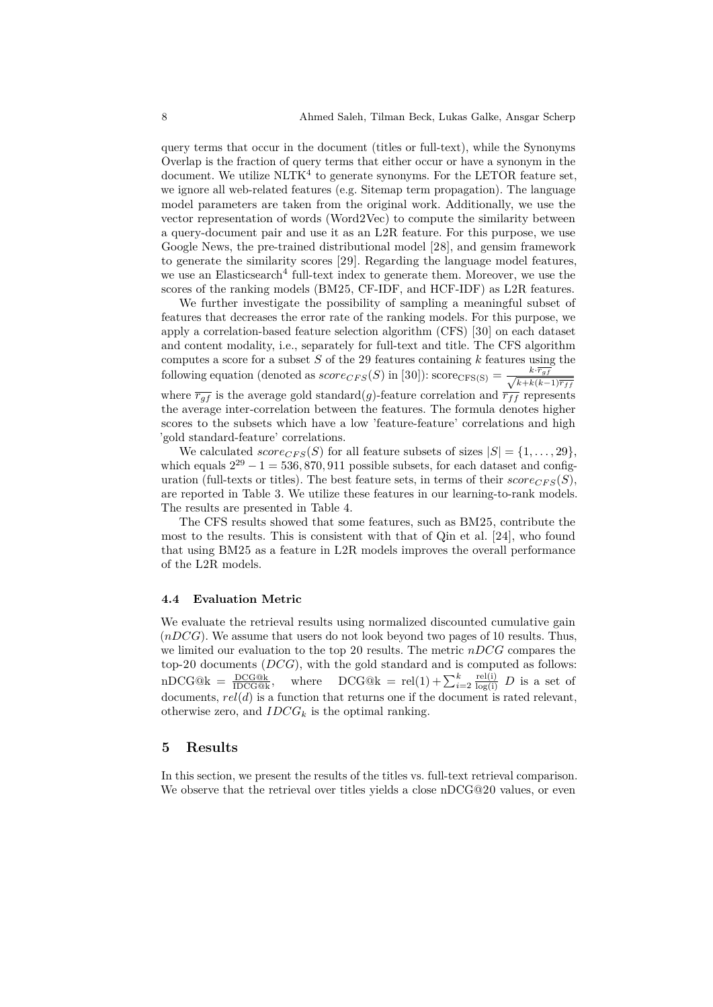query terms that occur in the document (titles or full-text), while the Synonyms Overlap is the fraction of query terms that either occur or have a synonym in the document. We utilize  $NLTK<sup>4</sup>$  $NLTK<sup>4</sup>$  $NLTK<sup>4</sup>$  to generate synonyms. For the LETOR feature set, we ignore all web-related features (e.g. Sitemap term propagation). The language model parameters are taken from the original work. Additionally, we use the vector representation of words (Word2Vec) to compute the similarity between a query-document pair and use it as an L2R feature. For this purpose, we use Google News, the pre-trained distributional model [\[28\]](#page-12-17), and gensim framework to generate the similarity scores [\[29\]](#page-12-18). Regarding the language model features, we use an Elasticsearch<sup>[4](#page-11-9)</sup> full-text index to generate them. Moreover, we use the scores of the ranking models (BM25, CF-IDF, and HCF-IDF) as L2R features.

We further investigate the possibility of sampling a meaningful subset of features that decreases the error rate of the ranking models. For this purpose, we apply a correlation-based feature selection algorithm (CFS) [\[30\]](#page-12-19) on each dataset and content modality, i.e., separately for full-text and title. The CFS algorithm computes a score for a subset  $S$  of the 29 features containing  $k$  features using the following equation (denoted as  $score_{CFS}(S)$  in [\[30\]](#page-12-19)):  $score_{CFS}(S) = \frac{k \cdot \overline{r_{gj}}}{\sqrt{k \cdot \overline{r_{gj}}}}$  $(k+k(k-1)\overline{r_{ff}})$ where  $\overline{r_{gf}}$  is the average gold standard(g)-feature correlation and  $\overline{r_{ff}}$  represents the average inter-correlation between the features. The formula denotes higher scores to the subsets which have a low 'feature-feature' correlations and high 'gold standard-feature' correlations.

We calculated  $score_{CFS}(S)$  for all feature subsets of sizes  $|S| = \{1, \ldots, 29\}$ , which equals  $2^{29} - 1 = 536,870,911$  possible subsets, for each dataset and configuration (full-texts or titles). The best feature sets, in terms of their  $score_{CFS}(S)$ , are reported in Table [3.](#page-8-0) We utilize these features in our learning-to-rank models. The results are presented in Table [4.](#page-9-1)

The CFS results showed that some features, such as BM25, contribute the most to the results. This is consistent with that of Qin et al. [\[24\]](#page-12-15), who found that using BM25 as a feature in L2R models improves the overall performance of the L2R models.

#### <span id="page-7-1"></span>**4.4 Evaluation Metric**

We evaluate the retrieval results using normalized discounted cumulative gain  $(nDCG)$ . We assume that users do not look beyond two pages of 10 results. Thus, we limited our evaluation to the top 20 results. The metric  $nDCG$  compares the top-20 documents  $(DCG)$ , with the gold standard and is computed as follows:  $nDCG@k = \frac{DCG@k}{IDCG@k}$ , where  $DCG@k = rel(1) + \sum_{i=2}^{k} \frac{rel(i)}{\log(i)} D$  is a set of documents,  $rel(d)$  is a function that returns one if the document is rated relevant, otherwise zero, and  $IDCG_k$  is the optimal ranking.

#### <span id="page-7-0"></span>**5 Results**

In this section, we present the results of the titles vs. full-text retrieval comparison. We observe that the retrieval over titles yields a close nDCG@20 values, or even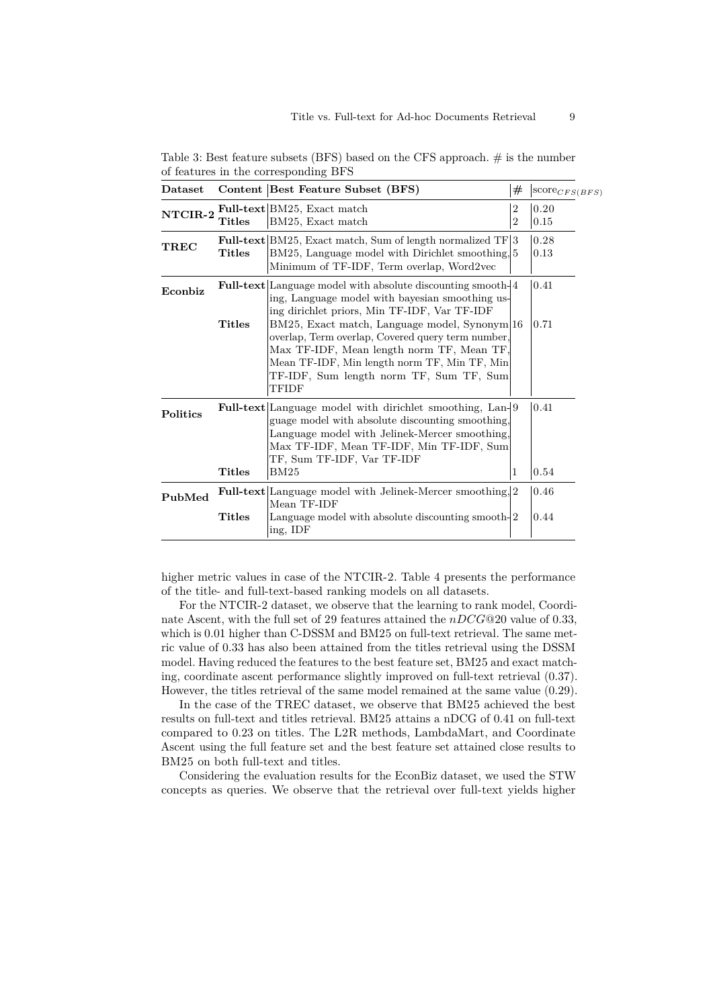| $\mathbf{D}\text{at }$ |               | Content Best Feature Subset (BFS)                                                                                                                                                                                                                                                                                                                                                                                           | #                                | $\text{score}_{CFS(BFS)}$ |
|------------------------|---------------|-----------------------------------------------------------------------------------------------------------------------------------------------------------------------------------------------------------------------------------------------------------------------------------------------------------------------------------------------------------------------------------------------------------------------------|----------------------------------|---------------------------|
| NTCIR-2                | <b>Titles</b> | <b>Full-text</b> BM25, Exact match<br>BM25, Exact match                                                                                                                                                                                                                                                                                                                                                                     | $\overline{2}$<br>$\overline{2}$ | 0.20<br>0.15              |
| <b>TREC</b>            | Titles        | <b>Full-text</b> $ BM25$ , Exact match, Sum of length normalized $TF 3$<br>BM25, Language model with Dirichlet smoothing, 5<br>Minimum of TF-IDF, Term overlap, Word2vec                                                                                                                                                                                                                                                    |                                  | 0.28<br>0.13              |
| Econbiz                | <b>Titles</b> | <b>Full-text</b> Language model with absolute discounting smooth-<br>ing, Language model with bayesian smoothing us-<br>ing dirichlet priors, Min TF-IDF, Var TF-IDF<br>BM25, Exact match, Language model, Synonym 16<br>overlap, Term overlap, Covered query term number,<br>Max TF-IDF, Mean length norm TF, Mean TF,<br>Mean TF-IDF, Min length norm TF, Min TF, Min<br>TF-IDF, Sum length norm TF, Sum TF, Sum<br>TFIDF |                                  | 0.41<br>0.71              |
| Politics               | <b>Titles</b> | <b>Full-text</b> Language model with dirichlet smoothing, Lan-19<br>guage model with absolute discounting smoothing,<br>Language model with Jelinek-Mercer smoothing,<br>Max TF-IDF, Mean TF-IDF, Min TF-IDF, Sum<br>TF, Sum TF-IDF, Var TF-IDF<br>BM25                                                                                                                                                                     | 1                                | 0.41<br>0.54              |
| PubMed                 |               | <b>Full-text</b> Language model with Jelinek-Mercer smoothing, 2<br>Mean TF-IDF                                                                                                                                                                                                                                                                                                                                             |                                  | 0.46                      |
|                        | <b>Titles</b> | Language model with absolute discounting smooth-2<br>ing, IDF                                                                                                                                                                                                                                                                                                                                                               |                                  | 0.44                      |

<span id="page-8-0"></span>Table 3: Best feature subsets (BFS) based on the CFS approach.  $\#$  is the number of features in the corresponding BFS

higher metric values in case of the NTCIR-2. Table [4](#page-9-1) presents the performance of the title- and full-text-based ranking models on all datasets.

For the NTCIR-2 dataset, we observe that the learning to rank model, Coordinate Ascent, with the full set of 29 features attained the  $nDCG@20$  value of 0.33, which is 0*.*01 higher than C-DSSM and BM25 on full-text retrieval. The same metric value of 0*.*33 has also been attained from the titles retrieval using the DSSM model. Having reduced the features to the best feature set, BM25 and exact matching, coordinate ascent performance slightly improved on full-text retrieval (0*.*37). However, the titles retrieval of the same model remained at the same value (0*.*29).

In the case of the TREC dataset, we observe that BM25 achieved the best results on full-text and titles retrieval. BM25 attains a nDCG of 0*.*41 on full-text compared to 0*.*23 on titles. The L2R methods, LambdaMart, and Coordinate Ascent using the full feature set and the best feature set attained close results to BM25 on both full-text and titles.

Considering the evaluation results for the EconBiz dataset, we used the STW concepts as queries. We observe that the retrieval over full-text yields higher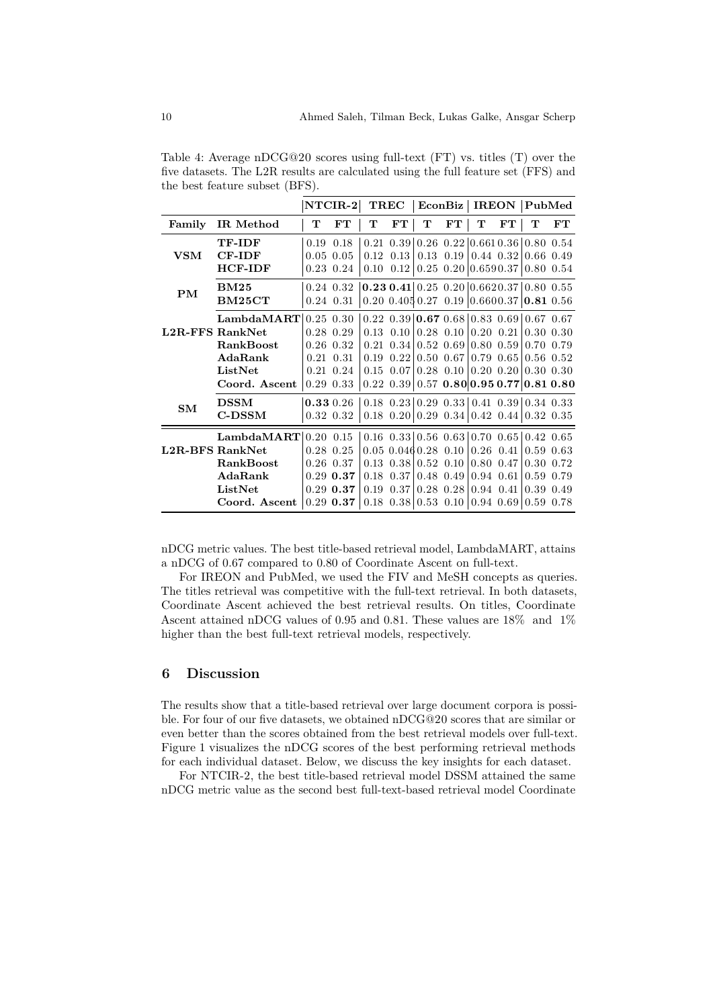|                        |                  | $NTCIR-2$ |                | <b>TREC</b> |                   | EconBiz |                                             | <b>IREON</b>                 |               | $\rm \mid$ PubMed                                                                |    |
|------------------------|------------------|-----------|----------------|-------------|-------------------|---------|---------------------------------------------|------------------------------|---------------|----------------------------------------------------------------------------------|----|
| Family                 | IR Method        | т         | $_{\rm FT}$    | т           | FT                | т       | FT                                          | T                            | FT            | т                                                                                | FT |
|                        | TF-IDF           | 0.19      | 0.18           |             |                   |         |                                             |                              |               | $0.21$ $0.39$   $0.26$ $0.22$   $0.661$ $0.36$   $0.80$ $0.54$                   |    |
| <b>VSM</b>             | <b>CF-IDF</b>    |           | $0.05$ 0.05    |             | $0.12 \quad 0.13$ |         | $0.13 \quad 0.19$                           |                              | $0.44$ 0.32   | $0.66$ $0.49$                                                                    |    |
|                        | <b>HCF-IDF</b>   |           | $0.23 \; 0.24$ | 0.10        | 0.12              |         |                                             | $0.25$ $0.20$ $0.659$ $0.37$ |               | $0.80\;0.54$                                                                     |    |
| <b>PM</b>              | <b>BM25</b>      |           | $0.24$ $0.32$  |             |                   |         |                                             |                              |               | $\vert 0.23 \, 0.41 \vert 0.25 \, 0.20 \vert 0.6620.37 \vert 0.80 \, 0.55 \vert$ |    |
|                        | BM25CT           |           | $0.24$ $0.31$  |             |                   |         |                                             |                              |               | $0.20$ $0.405$ $0.27$ $0.19$ $0.660$ $0.37$ $0.81$ $0.56$                        |    |
| <b>L2R-FFS RankNet</b> | LambdaMART       |           | $0.25$ $0.30$  |             |                   |         |                                             |                              |               | $0.22$ $0.39$   $0.67$ $0.68$   $0.83$ $0.69$   $0.67$ $0.67$                    |    |
|                        |                  |           | $0.28$ 0.29    | 0.13        | 0.10              |         | $0.28$ 0.10                                 | $0.20\ 0.21$                 |               | $0.30\;0.30$                                                                     |    |
|                        | <b>RankBoost</b> |           | $0.26$ $0.32$  | 0.21        |                   |         | $0.34 \mid 0.52 \mid 0.69 \mid$             | $0.80$ $0.59$                |               | 0.70 0.79                                                                        |    |
|                        | AdaRank          | 0.21      | 0.31           | 0.19        | 0.22              |         | $0.50 \; 0.67$                              |                              | $0.79$ $0.65$ | $0.56$ $0.52$                                                                    |    |
|                        | ListNet          | 0.21      | 0.24           | 0.15        | 0.07              |         | $0.28$ 0.10                                 |                              |               | $0.20 \ \ 0.20 \ \ 0.30 \ \ 0.30$                                                |    |
|                        | Coord. Ascent    |           | $0.29$ $0.33$  |             |                   |         |                                             |                              |               | $0.22$ $0.39$   0.57 $0.80$   0.95 $0.77$   0.81 $0.80$                          |    |
| <b>SM</b>              | <b>DSSM</b>      |           | 0.33 0.26      |             |                   |         |                                             |                              |               | $0.18$ $0.23$   $0.29$ $0.33$   $0.41$ $0.39$   $0.34$ $0.33$                    |    |
|                        | $C$ - $DSSM$     |           | 0.32 0.32      |             |                   |         |                                             |                              |               | $0.18$ $0.20$   $0.29$ $0.34$   $0.42$ $0.44$   $0.32$ $0.35$                    |    |
| <b>L2R-BFS RankNet</b> | LambdaMART       |           | $0.20\ 0.15$   |             |                   |         |                                             |                              |               | $0.16$ $0.33$ $0.56$ $0.63$ $0.70$ $0.65$ $0.42$ $0.65$                          |    |
|                        |                  |           | $0.28$ $0.25$  |             |                   |         | $0.05$ $0.046$ $0.28$ $0.10$                | $0.26$ 0.41                  |               | $0.59$ $0.63$                                                                    |    |
|                        | <b>RankBoost</b> |           | $0.26$ $0.37$  |             |                   |         | $0.13 \quad 0.38 \mid 0.52 \quad 0.10 \mid$ | 0.80 0.47                    |               | 0.30 0.72                                                                        |    |
|                        | AdaRank          |           | $0.29$ 0.37    | 0.18        | 0.37              |         | 0.48 0.49                                   | 0.94 0.61                    |               | 0.59 0.79                                                                        |    |
|                        | ListNet          |           | $0.29$ 0.37    | 0.19        | 0.37              |         | $0.28$ 0.28                                 | 0.94 0.41                    |               | 0.39 0.49                                                                        |    |
|                        | Coord. Ascent    |           | $0.29$ 0.37    |             |                   |         | $0.18$ $0.38$   $0.53$ $0.10$               | $0.94$ 0.69                  |               | 0.59 0.78                                                                        |    |

<span id="page-9-1"></span>Table 4: Average nDCG@20 scores using full-text (FT) vs. titles (T) over the five datasets. The L2R results are calculated using the full feature set (FFS) and the best feature subset (BFS).

nDCG metric values. The best title-based retrieval model, LambdaMART, attains a nDCG of 0*.*67 compared to 0*.*80 of Coordinate Ascent on full-text.

For IREON and PubMed, we used the FIV and MeSH concepts as queries. The titles retrieval was competitive with the full-text retrieval. In both datasets, Coordinate Ascent achieved the best retrieval results. On titles, Coordinate Ascent attained nDCG values of 0*.*95 and 0*.*81. These values are 18% and 1% higher than the best full-text retrieval models, respectively.

# <span id="page-9-0"></span>**6 Discussion**

The results show that a title-based retrieval over large document corpora is possible. For four of our five datasets, we obtained nDCG@20 scores that are similar or even better than the scores obtained from the best retrieval models over full-text. Figure [1](#page-10-0) visualizes the nDCG scores of the best performing retrieval methods for each individual dataset. Below, we discuss the key insights for each dataset.

For NTCIR-2, the best title-based retrieval model DSSM attained the same nDCG metric value as the second best full-text-based retrieval model Coordinate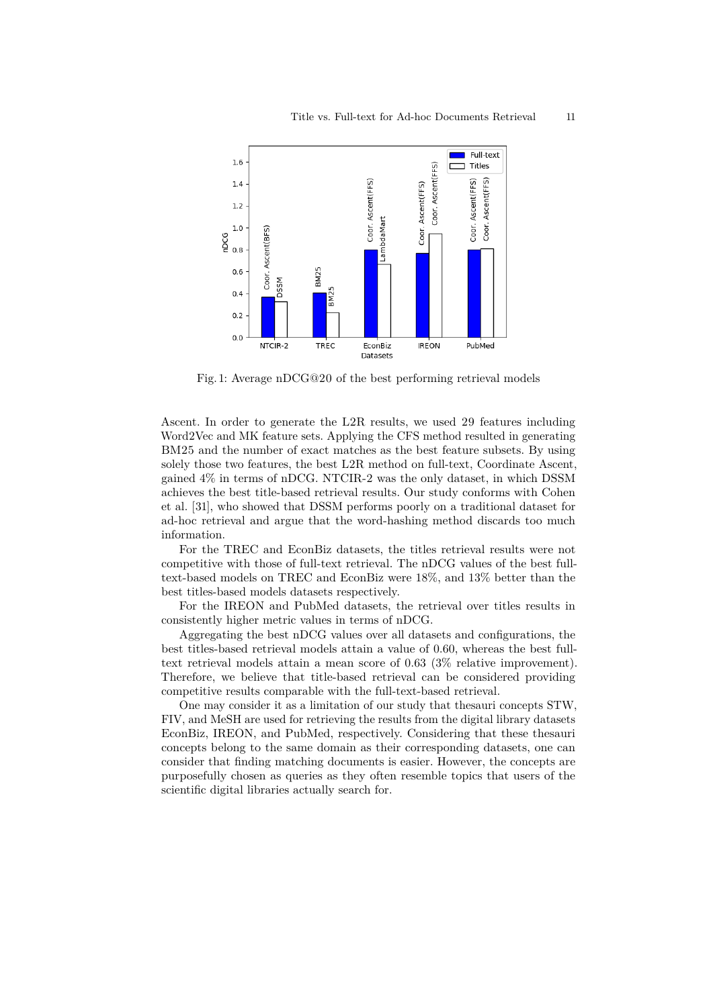<span id="page-10-0"></span>

Fig. 1: Average nDCG@20 of the best performing retrieval models

Ascent. In order to generate the L2R results, we used 29 features including Word2Vec and MK feature sets. Applying the CFS method resulted in generating BM25 and the number of exact matches as the best feature subsets. By using solely those two features, the best L2R method on full-text, Coordinate Ascent, gained 4% in terms of nDCG. NTCIR-2 was the only dataset, in which DSSM achieves the best title-based retrieval results. Our study conforms with Cohen et al. [\[31\]](#page-12-20), who showed that DSSM performs poorly on a traditional dataset for ad-hoc retrieval and argue that the word-hashing method discards too much information.

For the TREC and EconBiz datasets, the titles retrieval results were not competitive with those of full-text retrieval. The nDCG values of the best fulltext-based models on TREC and EconBiz were 18%, and 13% better than the best titles-based models datasets respectively.

For the IREON and PubMed datasets, the retrieval over titles results in consistently higher metric values in terms of nDCG.

Aggregating the best nDCG values over all datasets and configurations, the best titles-based retrieval models attain a value of 0*.*60, whereas the best fulltext retrieval models attain a mean score of 0*.*63 (3% relative improvement). Therefore, we believe that title-based retrieval can be considered providing competitive results comparable with the full-text-based retrieval.

One may consider it as a limitation of our study that thesauri concepts STW, FIV, and MeSH are used for retrieving the results from the digital library datasets EconBiz, IREON, and PubMed, respectively. Considering that these thesauri concepts belong to the same domain as their corresponding datasets, one can consider that finding matching documents is easier. However, the concepts are purposefully chosen as queries as they often resemble topics that users of the scientific digital libraries actually search for.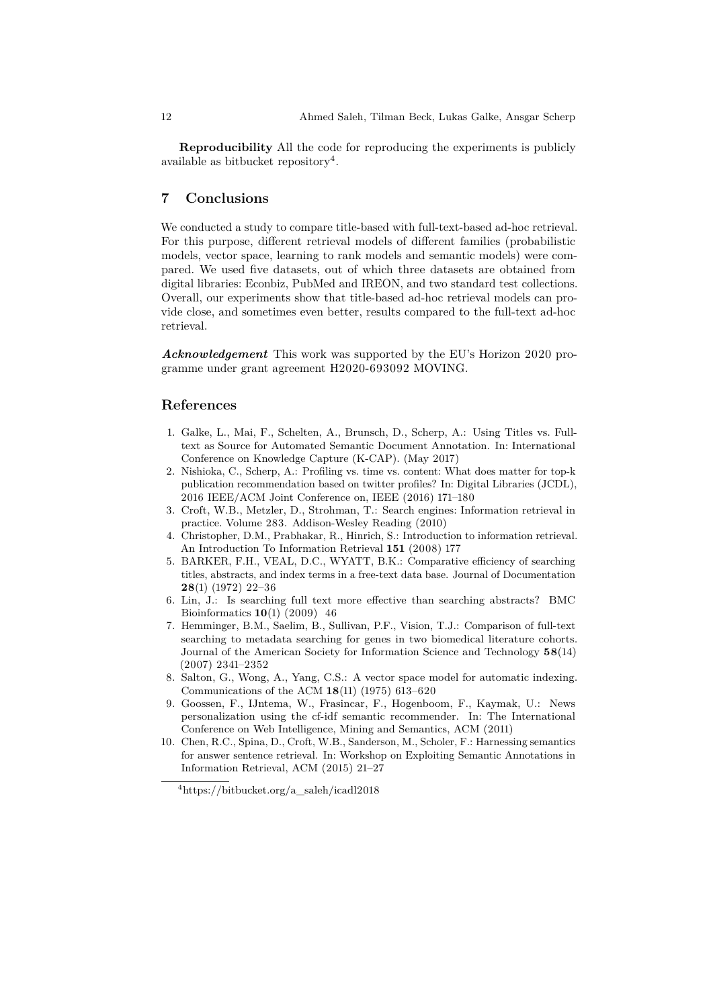**Reproducibility** All the code for reproducing the experiments is publicly available as bitbucket repository<sup>[4](#page-11-9)</sup>.

## **7 Conclusions**

We conducted a study to compare title-based with full-text-based ad-hoc retrieval. For this purpose, different retrieval models of different families (probabilistic models, vector space, learning to rank models and semantic models) were compared. We used five datasets, out of which three datasets are obtained from digital libraries: Econbiz, PubMed and IREON, and two standard test collections. Overall, our experiments show that title-based ad-hoc retrieval models can provide close, and sometimes even better, results compared to the full-text ad-hoc retrieval.

*Acknowledgement* This work was supported by the EU's Horizon 2020 programme under grant agreement H2020-693092 MOVING.

# **References**

- <span id="page-11-0"></span>1. Galke, L., Mai, F., Schelten, A., Brunsch, D., Scherp, A.: Using Titles vs. Fulltext as Source for Automated Semantic Document Annotation. In: International Conference on Knowledge Capture (K-CAP). (May 2017)
- <span id="page-11-1"></span>2. Nishioka, C., Scherp, A.: Profiling vs. time vs. content: What does matter for top-k publication recommendation based on twitter profiles? In: Digital Libraries (JCDL), 2016 IEEE/ACM Joint Conference on, IEEE (2016) 171–180
- <span id="page-11-2"></span>3. Croft, W.B., Metzler, D., Strohman, T.: Search engines: Information retrieval in practice. Volume 283. Addison-Wesley Reading (2010)
- <span id="page-11-3"></span>4. Christopher, D.M., Prabhakar, R., Hinrich, S.: Introduction to information retrieval. An Introduction To Information Retrieval **151** (2008) 177
- <span id="page-11-4"></span>5. BARKER, F.H., VEAL, D.C., WYATT, B.K.: Comparative efficiency of searching titles, abstracts, and index terms in a free-text data base. Journal of Documentation **28**(1) (1972) 22–36
- <span id="page-11-5"></span>6. Lin, J.: Is searching full text more effective than searching abstracts? BMC Bioinformatics **10**(1) (2009) 46
- <span id="page-11-6"></span>7. Hemminger, B.M., Saelim, B., Sullivan, P.F., Vision, T.J.: Comparison of full-text searching to metadata searching for genes in two biomedical literature cohorts. Journal of the American Society for Information Science and Technology **58**(14) (2007) 2341–2352
- <span id="page-11-7"></span>8. Salton, G., Wong, A., Yang, C.S.: A vector space model for automatic indexing. Communications of the ACM **18**(11) (1975) 613–620
- <span id="page-11-8"></span>9. Goossen, F., IJntema, W., Frasincar, F., Hogenboom, F., Kaymak, U.: News personalization using the cf-idf semantic recommender. In: The International Conference on Web Intelligence, Mining and Semantics, ACM (2011)
- <span id="page-11-10"></span>10. Chen, R.C., Spina, D., Croft, W.B., Sanderson, M., Scholer, F.: Harnessing semantics for answer sentence retrieval. In: Workshop on Exploiting Semantic Annotations in Information Retrieval, ACM (2015) 21–27

<span id="page-11-9"></span><sup>4</sup>https://bitbucket.org/a\_saleh/icadl2018